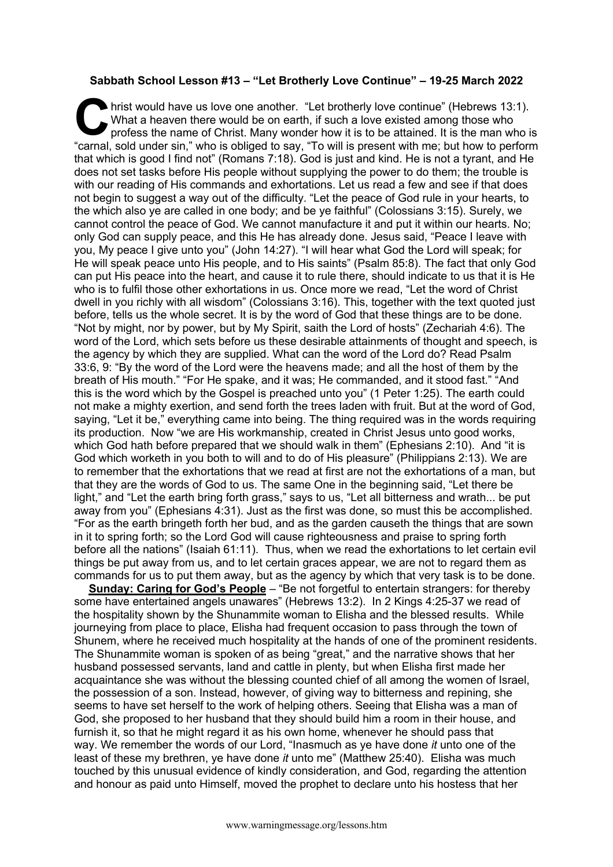## **Sabbath School Lesson #13 – "Let Brotherly Love Continue" – 19-25 March 2022**

hrist would have us love one another. "Let brotherly love continue" (Hebrews 13:1). What a heaven there would be on earth, if such a love existed among those who profess the name of Christ. Many wonder how it is to be attained. It is the man who is It is would have us love one another. "Let brotherly love continue" (Hebrews 13:1).<br>What a heaven there would be on earth, if such a love existed among those who<br>profess the name of Christ. Many wonder how it is to be atta that which is good I find not" (Romans 7:18). God is just and kind. He is not a tyrant, and He does not set tasks before His people without supplying the power to do them; the trouble is with our reading of His commands and exhortations. Let us read a few and see if that does not begin to suggest a way out of the difficulty. "Let the peace of God rule in your hearts, to the which also ye are called in one body; and be ye faithful" (Colossians 3:15). Surely, we cannot control the peace of God. We cannot manufacture it and put it within our hearts. No; only God can supply peace, and this He has already done. Jesus said, "Peace I leave with you, My peace I give unto you" (John 14:27). "I will hear what God the Lord will speak; for He will speak peace unto His people, and to His saints" (Psalm 85:8). The fact that only God can put His peace into the heart, and cause it to rule there, should indicate to us that it is He who is to fulfil those other exhortations in us. Once more we read, "Let the word of Christ dwell in you richly with all wisdom" (Colossians 3:16). This, together with the text quoted just before, tells us the whole secret. It is by the word of God that these things are to be done. "Not by might, nor by power, but by My Spirit, saith the Lord of hosts" (Zechariah 4:6). The word of the Lord, which sets before us these desirable attainments of thought and speech, is the agency by which they are supplied. What can the word of the Lord do? Read Psalm 33:6, 9: "By the word of the Lord were the heavens made; and all the host of them by the breath of His mouth." "For He spake, and it was; He commanded, and it stood fast." "And this is the word which by the Gospel is preached unto you" (1 Peter 1:25). The earth could not make a mighty exertion, and send forth the trees laden with fruit. But at the word of God, saying, "Let it be," everything came into being. The thing required was in the words requiring its production. Now "we are His workmanship, created in Christ Jesus unto good works, which God hath before prepared that we should walk in them" (Ephesians 2:10). And "it is God which worketh in you both to will and to do of His pleasure" (Philippians 2:13). We are to remember that the exhortations that we read at first are not the exhortations of a man, but that they are the words of God to us. The same One in the beginning said, "Let there be light," and "Let the earth bring forth grass," says to us, "Let all bitterness and wrath... be put away from you" (Ephesians 4:31). Just as the first was done, so must this be accomplished. "For as the earth bringeth forth her bud, and as the garden causeth the things that are sown in it to spring forth; so the Lord God will cause righteousness and praise to spring forth before all the nations" (Isaiah 61:11). Thus, when we read the exhortations to let certain evil things be put away from us, and to let certain graces appear, we are not to regard them as commands for us to put them away, but as the agency by which that very task is to be done.

**Sunday: Caring for God's People** – "Be not forgetful to entertain strangers: for thereby some have entertained angels unawares" (Hebrews 13:2). In 2 Kings 4:25-37 we read of the hospitality shown by the Shunammite woman to Elisha and the blessed results. While journeying from place to place, Elisha had frequent occasion to pass through the town of Shunem, where he received much hospitality at the hands of one of the prominent residents. The Shunammite woman is spoken of as being "great," and the narrative shows that her husband possessed servants, land and cattle in plenty, but when Elisha first made her acquaintance she was without the blessing counted chief of all among the women of Israel, the possession of a son. Instead, however, of giving way to bitterness and repining, she seems to have set herself to the work of helping others. Seeing that Elisha was a man of God, she proposed to her husband that they should build him a room in their house, and furnish it, so that he might regard it as his own home, whenever he should pass that way. We remember the words of our Lord, "Inasmuch as ye have done *it* unto one of the least of these my brethren, ye have done *it* unto me" (Matthew 25:40). Elisha was much touched by this unusual evidence of kindly consideration, and God, regarding the attention and honour as paid unto Himself, moved the prophet to declare unto his hostess that her